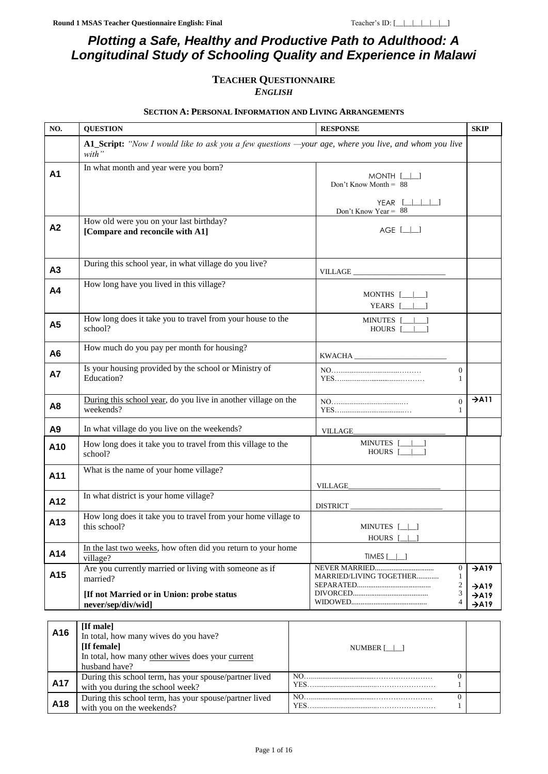### *Plotting a Safe, Healthy and Productive Path to Adulthood: A Longitudinal Study of Schooling Quality and Experience in Malawi*

## **TEACHER QUESTIONNAIRE**

*ENGLISH*

#### **SECTION A: PERSONAL INFORMATION AND LIVING ARRANGEMENTS**

<span id="page-0-0"></span>

| NO.            | <b>QUESTION</b><br><b>RESPONSE</b>                                                                            |                                                                    | <b>SKIP</b>                            |
|----------------|---------------------------------------------------------------------------------------------------------------|--------------------------------------------------------------------|----------------------------------------|
|                | A1_Script: "Now I would like to ask you a few questions —your age, where you live, and whom you live<br>with" |                                                                    |                                        |
| <b>A1</b>      | In what month and year were you born?                                                                         | $MONTH$ [ $\Box$ ]<br>Don't Know Month = $88$                      |                                        |
|                |                                                                                                               | $YEAR$ $[$ $ $ $ $ $ $ $ $ $ $ $ $ $ $<br>Don't Know Year = $88$   |                                        |
| A2             | How old were you on your last birthday?<br>[Compare and reconcile with A1]                                    | $AGE$ $[\_]\_$                                                     |                                        |
| A3             | During this school year, in what village do you live?                                                         |                                                                    |                                        |
| A4             | How long have you lived in this village?                                                                      | MONTHS $[\_\_\_\_\_\]$<br>YEARS $[\_\_\_\_\]$                      |                                        |
| A5             | How long does it take you to travel from your house to the<br>school?                                         | MINUTES [_____]<br>HOURS $[- \ ]$                                  |                                        |
| A <sub>6</sub> | How much do you pay per month for housing?                                                                    | $\text{KWACHA} \_\_\_$                                             |                                        |
| <b>A7</b>      | Is your housing provided by the school or Ministry of<br>Education?                                           | $\boldsymbol{0}$<br>1                                              |                                        |
| A8             | During this school year, do you live in another village on the<br>weekends?                                   | $\Omega$<br>1                                                      | $\rightarrow$ A11                      |
| A <sub>9</sub> | In what village do you live on the weekends?                                                                  | <b>VILLAGE_</b>                                                    |                                        |
| A10            | How long does it take you to travel from this village to the<br>school?                                       | MINUTES [______]<br>HOURS [_____]                                  |                                        |
| A11            | What is the name of your home village?                                                                        |                                                                    |                                        |
| A12            | In what district is your home village?                                                                        |                                                                    |                                        |
| A13            | How long does it take you to travel from your home village to<br>this school?                                 | MINUTES [_ _]<br>HOURS [                                           |                                        |
| A14            | In the last two weeks, how often did you return to your home<br>village?                                      | TIMES $[\_\_\]$                                                    |                                        |
| A15            | Are you currently married or living with someone as if<br>married?                                            | $\boldsymbol{0}$<br>MARRIED/LIVING TOGETHER<br>1<br>$\mathfrak{2}$ | $\rightarrow$ A19<br>$\rightarrow$ A19 |
|                | [If not Married or in Union: probe status<br>never/sep/div/wid]                                               | 3<br>$\overline{4}$                                                | $\rightarrow$ A19<br>$\rightarrow$ A19 |
|                | [If male]                                                                                                     |                                                                    |                                        |
| A16            | In total, how many wives do you have?<br>[If female]                                                          | NUMBER $[\_]\_$                                                    |                                        |

<span id="page-0-1"></span>

|                 | [If female]<br>In total, how many other wives does your current                            | NUMBER <sub>[</sub>   ] |  |
|-----------------|--------------------------------------------------------------------------------------------|-------------------------|--|
|                 | husband have?                                                                              |                         |  |
| A17             | During this school term, has your spouse/partner lived<br>with you during the school week? | NO.                     |  |
| A <sub>18</sub> | During this school term, has your spouse/partner lived<br>with you on the weekends?        | NO.                     |  |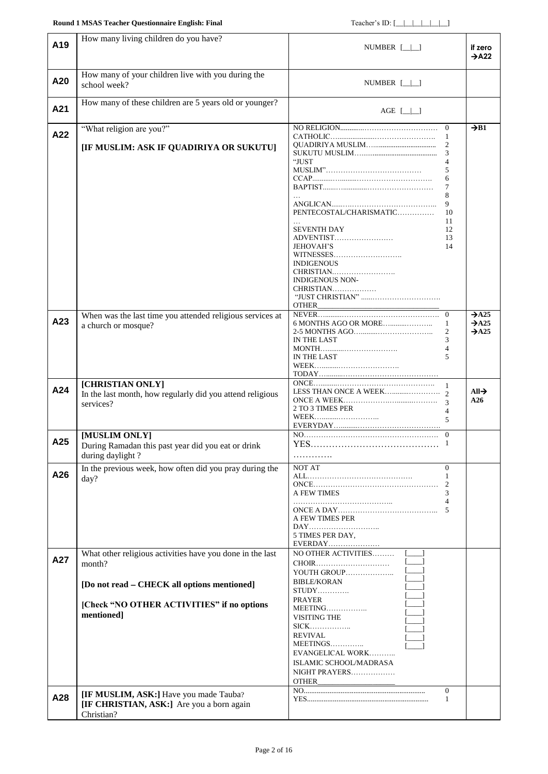### **Round 1 MSAS Teacher Questionnaire English: Final** Teacher's ID: [\_\_|\_|\_|\_|\_|\_|\_|\_

<span id="page-1-2"></span><span id="page-1-1"></span><span id="page-1-0"></span>

| A <sub>19</sub> | How many living children do you have?                                                      | NUMBER $[\_\]$                                                                                                                                                             | if zero<br>$\rightarrow$ A22                                |
|-----------------|--------------------------------------------------------------------------------------------|----------------------------------------------------------------------------------------------------------------------------------------------------------------------------|-------------------------------------------------------------|
| A20             | How many of your children live with you during the                                         | NUMBER $[\_\_\]$                                                                                                                                                           |                                                             |
|                 | school week?                                                                               |                                                                                                                                                                            |                                                             |
| A21             | How many of these children are 5 years old or younger?                                     | AGE $[\_\_\]$                                                                                                                                                              |                                                             |
| A22             | "What religion are you?"                                                                   | $\Omega$<br>-1                                                                                                                                                             | $\rightarrow$ B1                                            |
|                 | [IF MUSLIM: ASK IF QUADIRIYA OR SUKUTU]                                                    | 2<br>3<br>"JUST<br>4<br>5<br>6<br>7<br>8<br>9<br>PENTECOSTAL/CHARISMATIC<br>10                                                                                             |                                                             |
|                 |                                                                                            | 11<br><b>SEVENTH DAY</b><br>12<br>ADVENTIST<br>13<br>14<br><b>JEHOVAH'S</b><br>WITNESSES<br><b>INDIGENOUS</b><br>CHRISTIAN<br><b>INDIGENOUS NON-</b><br>CHRISTIAN<br>OTHER |                                                             |
| A23             | When was the last time you attended religious services at<br>a church or mosque?           | 6 MONTHS AGO OR MORE<br>1<br>$\overline{2}$<br>IN THE LAST<br>3<br>$\overline{4}$<br>IN THE LAST<br>5                                                                      | $\rightarrow$ A25<br>$\rightarrow$ A25<br>$\rightarrow$ A25 |
| A24             | [CHRISTIAN ONLY]<br>In the last month, how regularly did you attend religious<br>services? | $\overline{1}$<br>2 TO 3 TIMES PER<br>$\overline{4}$<br>$\overline{5}$                                                                                                     | $All\rightarrow$<br>A26                                     |
| A25             | [MUSLIM ONLY]<br>During Ramadan this past year did you eat or drink<br>during daylight?    | $\theta$                                                                                                                                                                   |                                                             |
| A26             | In the previous week, how often did you pray during the<br>day?                            | NOT AT<br>$\mathbf{0}$<br>1<br>2<br>A FEW TIMES<br>$\Delta$<br>5<br>A FEW TIMES PER<br>DAY<br>5 TIMES PER DAY,<br>EVERDAY                                                  |                                                             |
| A27             | What other religious activities have you done in the last<br>month?                        | NO OTHER ACTIVITIES<br>YOUTH GROUP<br><b>BIBLE/KORAN</b>                                                                                                                   |                                                             |
|                 | [Do not read - CHECK all options mentioned]                                                | $STUDY$                                                                                                                                                                    |                                                             |
|                 | [Check "NO OTHER ACTIVITIES" if no options<br>mentioned]                                   | <b>PRAYER</b><br>MEETING<br>VISITING THE<br><b>REVIVAL</b><br>EVANGELICAL WORK<br>ISLAMIC SCHOOL/MADRASA<br>NIGHT PRAYERS<br>OTHER                                         |                                                             |
| A28             | [IF MUSLIM, ASK:] Have you made Tauba?                                                     | $\Omega$<br>-1                                                                                                                                                             |                                                             |
|                 | [IF CHRISTIAN, ASK:] Are you a born again<br>Christian?                                    |                                                                                                                                                                            |                                                             |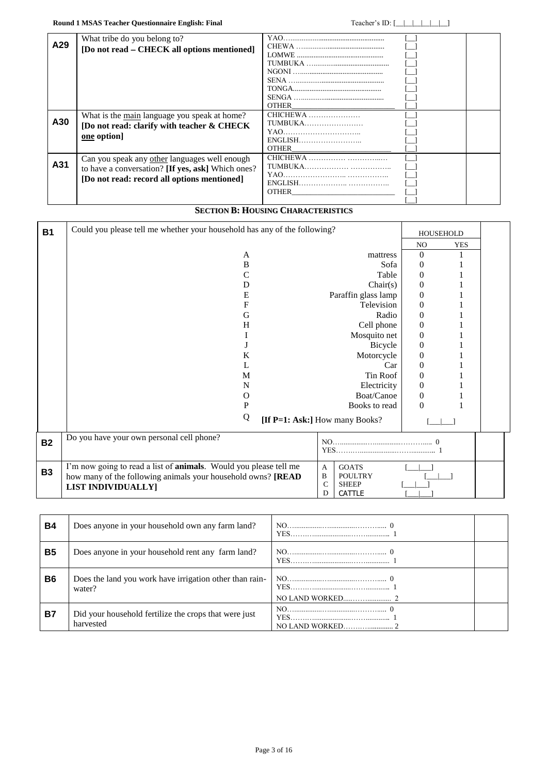|     | What tribe do you belong to?                      |                |  |
|-----|---------------------------------------------------|----------------|--|
| A29 | [Do not read – CHECK all options mentioned]       |                |  |
|     |                                                   |                |  |
|     |                                                   |                |  |
|     |                                                   |                |  |
|     |                                                   |                |  |
|     |                                                   |                |  |
|     |                                                   |                |  |
|     |                                                   | <b>OTHER</b>   |  |
|     | What is the main language you speak at home?      | CHICHEWA       |  |
| A30 | [Do not read: clarify with teacher & CHECK        | <b>TUMBUKA</b> |  |
|     | one option]                                       |                |  |
|     |                                                   | ENGLISH        |  |
|     |                                                   | <b>OTHER</b>   |  |
|     | Can you speak any other languages well enough     |                |  |
| A31 | to have a conversation? [If yes, ask] Which ones? |                |  |
|     | [Do not read: record all options mentioned]       |                |  |
|     |                                                   |                |  |
|     |                                                   | <b>OTHER</b>   |  |
|     |                                                   |                |  |

### **SECTION B: HOUSING CHARACTERISTICS**

| <b>B1</b> | Could you please tell me whether your household has any of the following?                                                                                                                                                                                                               | <b>HOUSEHOLD</b>  |  |
|-----------|-----------------------------------------------------------------------------------------------------------------------------------------------------------------------------------------------------------------------------------------------------------------------------------------|-------------------|--|
|           |                                                                                                                                                                                                                                                                                         | NO.<br><b>YES</b> |  |
|           | A<br>mattress                                                                                                                                                                                                                                                                           | $\Omega$          |  |
|           | B<br>Sofa                                                                                                                                                                                                                                                                               | $\overline{0}$    |  |
|           | Table<br>C                                                                                                                                                                                                                                                                              | $\theta$          |  |
|           | Chair(s)<br>D                                                                                                                                                                                                                                                                           | $\Omega$          |  |
|           | Paraffin glass lamp<br>E                                                                                                                                                                                                                                                                | $\overline{0}$    |  |
|           | F<br>Television                                                                                                                                                                                                                                                                         | $\boldsymbol{0}$  |  |
|           | Radio<br>G                                                                                                                                                                                                                                                                              | $\Omega$          |  |
|           | Cell phone<br>H                                                                                                                                                                                                                                                                         | $\overline{0}$    |  |
|           | Mosquito net                                                                                                                                                                                                                                                                            | $\boldsymbol{0}$  |  |
|           | Bicycle                                                                                                                                                                                                                                                                                 | $\overline{0}$    |  |
|           | K<br>Motorcycle                                                                                                                                                                                                                                                                         | $\theta$          |  |
|           | Car                                                                                                                                                                                                                                                                                     | $\theta$          |  |
|           | Tin Roof<br>M                                                                                                                                                                                                                                                                           | $\overline{0}$    |  |
|           | Electricity<br>N                                                                                                                                                                                                                                                                        | 0                 |  |
|           | Boat/Canoe<br>0                                                                                                                                                                                                                                                                         | $\Omega$          |  |
|           | P<br>Books to read                                                                                                                                                                                                                                                                      | $\theta$          |  |
|           | Q<br>[If P=1: Ask:] How many Books?                                                                                                                                                                                                                                                     |                   |  |
| <b>B2</b> | Do you have your own personal cell phone?<br>$NO$ 0<br><b>YES</b>                                                                                                                                                                                                                       |                   |  |
| <b>B3</b> | I'm now going to read a list of <b>animals</b> . Would you please tell me<br><b>GOATS</b><br>$\mathbf{A}$<br>$\, {\bf B}$<br>how many of the following animals your household owns? [READ<br><b>POULTRY</b><br>$\mathsf{C}$<br><b>SHEEP</b><br><b>LIST INDIVIDUALLY]</b><br>D<br>CATTLE |                   |  |

| <b>B4</b>      | Does anyone in your household own any farm land?                   | YES. |
|----------------|--------------------------------------------------------------------|------|
| <b>B5</b>      | Does anyone in your household rent any farm land?                  |      |
| B <sub>6</sub> | Does the land you work have irrigation other than rain-<br>water?  |      |
| <b>B7</b>      | Did your household fertilize the crops that were just<br>harvested |      |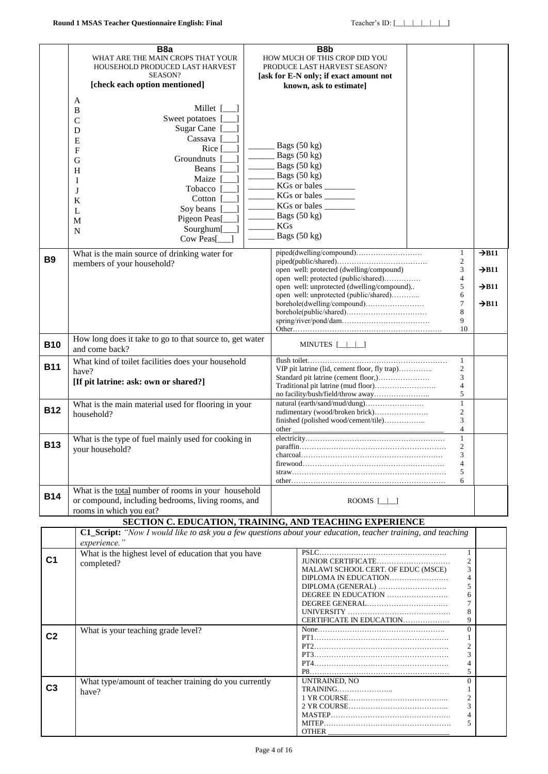|                | B <sub>8</sub> a<br>WHAT ARE THE MAIN CROPS THAT YOUR<br>HOUSEHOLD PRODUCED LAST HARVEST<br>SEASON?<br>[check each option mentioned]                                                                                                                                                  | B8b<br>HOW MUCH OF THIS CROP DID YOU<br>PRODUCE LAST HARVEST SEASON?<br>[ask for E-N only; if exact amount not<br>known, ask to estimate]                                                |                                                                                      |                                                                                  |
|----------------|---------------------------------------------------------------------------------------------------------------------------------------------------------------------------------------------------------------------------------------------------------------------------------------|------------------------------------------------------------------------------------------------------------------------------------------------------------------------------------------|--------------------------------------------------------------------------------------|----------------------------------------------------------------------------------|
|                | A<br>Millet [<br>B<br>Sweet potatoes<br>$\mathcal{C}$<br>Sugar Cane [<br>D<br>Cassava<br>E<br>Rice  <br>$\mathbf{F}$<br>Groundnuts  <br>G<br>Beans<br>H<br>Maize<br>I<br>Tobacco  <br>J<br>Cotton<br>K<br>Soy beans<br>L<br>Pigeon Peas[<br>M<br>Sourghum[<br>$\mathbf N$<br>Cow Peas | Bags $(50 \text{ kg})$<br>Bags (50 kg)<br>Bags $(50 \text{ kg})$<br>Bags (50 kg)<br>KGs or bales<br>KGs or bales<br>KGs or bales<br>Bags $(50 \text{ kg})$<br><b>KGs</b><br>Bags (50 kg) |                                                                                      |                                                                                  |
| <b>B9</b>      | What is the main source of drinking water for<br>members of your household?                                                                                                                                                                                                           | open well: protected (dwelling/compound)<br>open well: protected (public/shared)<br>open well: unprotected (dwelling/compound)<br>open well: unprotected (public/shared)                 | $\mathbf{1}$<br>$\mathfrak{2}$<br>3<br>$\overline{4}$<br>5<br>6<br>7<br>8<br>9<br>10 | $\rightarrow$ B11<br>$\rightarrow$ B11<br>$\rightarrow$ B11<br>$\rightarrow$ B11 |
| <b>B10</b>     | How long does it take to go to that source to, get water<br>and come back?                                                                                                                                                                                                            | MINUTES [_ _ _]                                                                                                                                                                          |                                                                                      |                                                                                  |
| <b>B11</b>     | What kind of toilet facilities does your household<br>have?<br>[If pit latrine: ask: own or shared?]                                                                                                                                                                                  |                                                                                                                                                                                          | $\mathbf{1}$<br>2<br>3<br>$\overline{4}$<br>5                                        |                                                                                  |
| <b>B12</b>     | What is the main material used for flooring in your<br>household?                                                                                                                                                                                                                     | rudimentary (wood/broken brick)<br>finished (polished wood/cement/tile)<br>other                                                                                                         | $\mathbf{1}$<br>$\boldsymbol{2}$<br>3<br>4                                           |                                                                                  |
| <b>B13</b>     | What is the type of fuel mainly used for cooking in<br>your household?                                                                                                                                                                                                                |                                                                                                                                                                                          | $\mathbf{1}$<br>$\overline{2}$<br>3<br>4<br>5<br>6                                   |                                                                                  |
| <b>B14</b>     | What is the total number of rooms in your household<br>or compound, including bedrooms, living rooms, and<br>rooms in which you eat?                                                                                                                                                  | ROOMS $[\_]$                                                                                                                                                                             |                                                                                      |                                                                                  |
|                |                                                                                                                                                                                                                                                                                       | SECTION C. EDUCATION, TRAINING, AND TEACHING EXPERIENCE                                                                                                                                  |                                                                                      |                                                                                  |
|                | experience."                                                                                                                                                                                                                                                                          | C1_Script: "Now I would like to ask you a few questions about your education, teacher training, and teaching                                                                             |                                                                                      |                                                                                  |
| C <sub>1</sub> | What is the highest level of education that you have<br>completed?                                                                                                                                                                                                                    | JUNIOR CERTIFICATE<br>MALAWI SCHOOL CERT. OF EDUC (MSCE)<br>DIPLOMA IN EDUCATION<br>CERTIFICATE IN EDUCATION                                                                             | 1<br>$\overline{c}$<br>3<br>4<br>5<br>6<br>7<br>8<br>9                               |                                                                                  |
| C <sub>2</sub> | What is your teaching grade level?                                                                                                                                                                                                                                                    |                                                                                                                                                                                          | $\overline{0}$<br>1<br>2<br>3<br>4<br>5                                              |                                                                                  |
| C <sub>3</sub> | What type/amount of teacher training do you currently<br>have?                                                                                                                                                                                                                        | UNTRAINED, NO<br><b>OTHER</b>                                                                                                                                                            | $\mathbf{0}$<br>$\mathbf{1}$<br>2<br>3<br>4<br>5                                     |                                                                                  |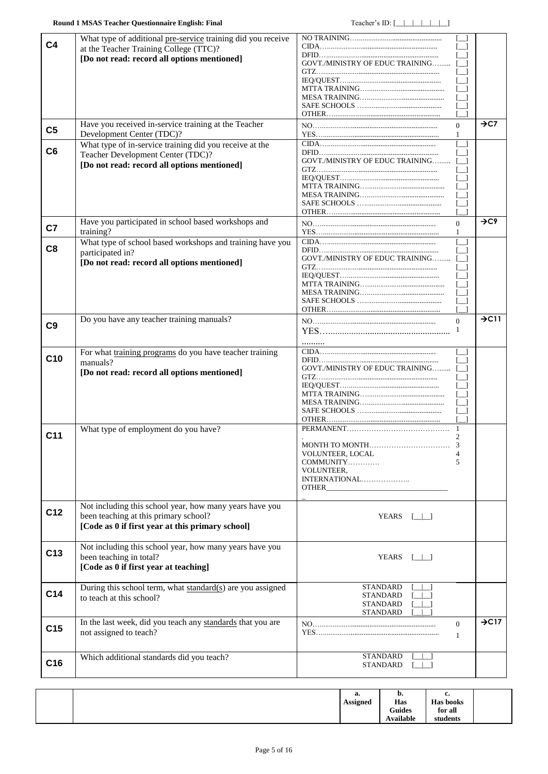<span id="page-4-1"></span><span id="page-4-0"></span>

| C <sub>4</sub>  | What type of additional pre-service training did you receive<br>at the Teacher Training College (TTC)?<br>[Do not read: record all options mentioned] | GOVT./MINISTRY OF EDUC TRAINING                                                                                                                                                                                                                                                                                      | $\rightarrow$ C7  |
|-----------------|-------------------------------------------------------------------------------------------------------------------------------------------------------|----------------------------------------------------------------------------------------------------------------------------------------------------------------------------------------------------------------------------------------------------------------------------------------------------------------------|-------------------|
| C <sub>5</sub>  | Have you received in-service training at the Teacher<br>Development Center (TDC)?                                                                     | $\Omega$<br>1                                                                                                                                                                                                                                                                                                        |                   |
| C <sub>6</sub>  | What type of in-service training did you receive at the<br>Teacher Development Center (TDC)?<br>[Do not read: record all options mentioned]           | <b>GOVT./MINISTRY OF EDUC TRAINING</b>                                                                                                                                                                                                                                                                               |                   |
| C7              | Have you participated in school based workshops and<br>training?                                                                                      | $\theta$<br>1                                                                                                                                                                                                                                                                                                        | $\rightarrow$ C9  |
| C <sub>8</sub>  | What type of school based workshops and training have you<br>participated in?<br>[Do not read: record all options mentioned]                          | GOVT./MINISTRY OF EDUC TRAINING                                                                                                                                                                                                                                                                                      |                   |
| C <sub>9</sub>  | Do you have any teacher training manuals?                                                                                                             | $\Omega$<br>1                                                                                                                                                                                                                                                                                                        | $\rightarrow$ C11 |
| C10             | For what training programs do you have teacher training<br>manuals?<br>[Do not read: record all options mentioned]                                    | GOVT./MINISTRY OF EDUC TRAINING                                                                                                                                                                                                                                                                                      |                   |
| C <sub>11</sub> | What type of employment do you have?                                                                                                                  | 2<br>VOLUNTEER, LOCAL<br>4<br>COMMUNITY<br>.5<br>VOLUNTEER,<br>INTERNATIONAL<br>OTHER <b>Express of the Second Second Second Second Second Second Second Second Second Second Second Second Second Second Second Second Second Second Second Second Second Second Second Second Second Second Second Second Seco</b> |                   |
| C12             | Not including this school year, how many years have you<br>been teaching at this primary school?<br>[Code as 0 if first year at this primary school]  | YEARS $\lceil \cdot \rceil$                                                                                                                                                                                                                                                                                          |                   |
| C13             | Not including this school year, how many years have you<br>been teaching in total?<br>[Code as 0 if first year at teaching]                           | <b>YEARS</b><br>$\Box$                                                                                                                                                                                                                                                                                               |                   |
| C <sub>14</sub> | During this school term, what standard(s) are you assigned<br>to teach at this school?                                                                | STANDARD<br>STANDARD<br>STANDARD<br>STANDARD                                                                                                                                                                                                                                                                         |                   |
| C <sub>15</sub> | In the last week, did you teach any standards that you are<br>not assigned to teach?                                                                  | $\mathbf{0}$<br>-1                                                                                                                                                                                                                                                                                                   | $\rightarrow$ C17 |
| C16             | Which additional standards did you teach?                                                                                                             | <b>STANDARD</b><br>STANDARD                                                                                                                                                                                                                                                                                          |                   |

<span id="page-4-2"></span>

|  | а.<br><b>Assigned</b> | D.<br>Has<br>Guides<br>Available | ı.<br><b>Has books</b><br>for all<br>students |  |
|--|-----------------------|----------------------------------|-----------------------------------------------|--|
|--|-----------------------|----------------------------------|-----------------------------------------------|--|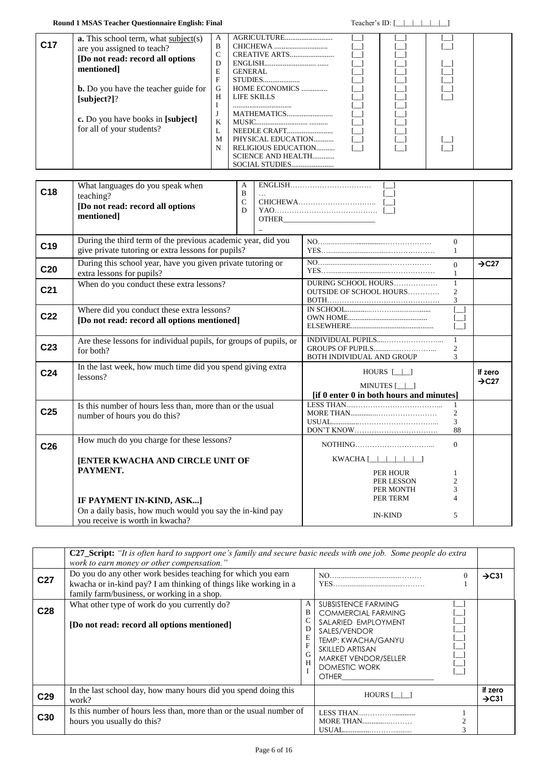#### **Round 1 MSAS Teacher Questionnaire English: Final** Teacher's ID: [\_\_|\_|\_|\_|\_|\_|\_|

| C <sub>17</sub> | <b>a.</b> This school term, what subject(s)<br>are you assigned to teach? | A<br>B |                           |  |  |
|-----------------|---------------------------------------------------------------------------|--------|---------------------------|--|--|
|                 |                                                                           | C      | CREATIVE ARTS             |  |  |
|                 | [Do not read: record all options                                          | D      |                           |  |  |
|                 | mentioned]                                                                | E      | <b>GENERAL</b>            |  |  |
|                 |                                                                           | F      | STUDIES                   |  |  |
|                 | <b>b.</b> Do you have the teacher guide for                               | G      | HOME ECONOMICS            |  |  |
|                 | [subject?]                                                                | H      | LIFE SKILLS               |  |  |
|                 |                                                                           |        |                           |  |  |
|                 |                                                                           |        | MATHEMATICS               |  |  |
|                 | c. Do you have books in [subject]                                         | K      |                           |  |  |
|                 | for all of your students?                                                 |        | NEEDLE CRAFT              |  |  |
|                 |                                                                           | M      | PHYSICAL EDUCATION        |  |  |
|                 |                                                                           | N      | RELIGIOUS EDUCATION       |  |  |
|                 |                                                                           |        | <b>SCIENCE AND HEALTH</b> |  |  |
|                 |                                                                           |        | SOCIAL STUDIES            |  |  |

| C18             | What languages do you speak when<br>teaching?<br>[Do not read: record all options<br>mentioned]                    | A<br>B<br>$\mathbf C$<br>D | $\boxed{\text{ENGLISH}}$                                                             |                                                                                                                                                                                                                                                                                                                                                                                                                                                                                                                            |                                      |                   |  |
|-----------------|--------------------------------------------------------------------------------------------------------------------|----------------------------|--------------------------------------------------------------------------------------|----------------------------------------------------------------------------------------------------------------------------------------------------------------------------------------------------------------------------------------------------------------------------------------------------------------------------------------------------------------------------------------------------------------------------------------------------------------------------------------------------------------------------|--------------------------------------|-------------------|--|
| C <sub>19</sub> | During the third term of the previous academic year, did you<br>give private tutoring or extra lessons for pupils? |                            |                                                                                      |                                                                                                                                                                                                                                                                                                                                                                                                                                                                                                                            | $\theta$<br>1                        |                   |  |
| C <sub>20</sub> | During this school year, have you given private tutoring or<br>extra lessons for pupils?                           |                            |                                                                                      |                                                                                                                                                                                                                                                                                                                                                                                                                                                                                                                            | $\Omega$                             | $\rightarrow$ C27 |  |
| C <sub>21</sub> | When do you conduct these extra lessons?                                                                           |                            |                                                                                      | DURING SCHOOL HOURS<br><b>OUTSIDE OF SCHOOL HOURS</b>                                                                                                                                                                                                                                                                                                                                                                                                                                                                      | $\mathbf{1}$<br>$\overline{2}$<br>3  |                   |  |
| C <sub>22</sub> | Where did you conduct these extra lessons?<br>[Do not read: record all options mentioned]                          |                            |                                                                                      |                                                                                                                                                                                                                                                                                                                                                                                                                                                                                                                            |                                      |                   |  |
| C <sub>23</sub> | Are these lessons for individual pupils, for groups of pupils, or<br>for both?                                     |                            |                                                                                      | BOTH INDIVIDUAL AND GROUP                                                                                                                                                                                                                                                                                                                                                                                                                                                                                                  | $\mathbf{1}$<br>$\mathfrak{2}$<br>3  |                   |  |
| C <sub>24</sub> | In the last week, how much time did you spend giving extra<br>lessons?                                             |                            | HOURS $\lceil \ \rceil$<br>MINUTES [   ]<br>[if 0 enter 0 in both hours and minutes] |                                                                                                                                                                                                                                                                                                                                                                                                                                                                                                                            | if zero<br>$\rightarrow$ C27         |                   |  |
| C <sub>25</sub> | Is this number of hours less than, more than or the usual<br>number of hours you do this?                          |                            |                                                                                      |                                                                                                                                                                                                                                                                                                                                                                                                                                                                                                                            | $\mathbf{1}$<br>$\mathfrak{2}$<br>88 |                   |  |
| C <sub>26</sub> | How much do you charge for these lessons?                                                                          |                            |                                                                                      | NOTHING                                                                                                                                                                                                                                                                                                                                                                                                                                                                                                                    | $\Omega$                             |                   |  |
|                 | <b>[ENTER KWACHA AND CIRCLE UNIT OF</b>                                                                            |                            |                                                                                      | $\textbf{KWACHA} \texttt{[\_\_]\_\_\_}\textcolor{red}{\_\_}\textcolor{red}{\_\_}\textcolor{red}{\_\_}\textcolor{red}{\_\_}\textcolor{red}{\_\_}\textcolor{red}{\_\_}\textcolor{red}{\_\_}\textcolor{red}{\_\_}\textcolor{red}{\_\_}\textcolor{red}{\_\_}\textcolor{red}{\_\_}\textcolor{red}{\_\_}\textcolor{red}{\_\_}\textcolor{red}{\_\_}\textcolor{red}{\_\_}\textcolor{red}{\_\_}\textcolor{red}{\_\_}\textcolor{red}{\_\_}\textcolor{red}{\_\_}\textcolor{red}{\_\_}\textcolor{red}{\_\_}\textcolor{red}{\_\_}\text$ |                                      |                   |  |
|                 | PAYMENT.<br>IF PAYMENT IN-KIND, ASK]                                                                               |                            |                                                                                      | PER HOUR<br>PER LESSON<br>PER MONTH<br>PER TERM                                                                                                                                                                                                                                                                                                                                                                                                                                                                            | $\overline{2}$<br>3                  |                   |  |
|                 | On a daily basis, how much would you say the in-kind pay<br>vou receive is worth in kwacha?                        |                            |                                                                                      | <b>IN-KIND</b>                                                                                                                                                                                                                                                                                                                                                                                                                                                                                                             | 5                                    |                   |  |

|                 | C27_Script: "It is often hard to support one's family and secure basic needs with one job. Some people do extra<br>work to earn money or other compensation."                   |                  |                                                                                                                                                                                                         |                   |                              |  |
|-----------------|---------------------------------------------------------------------------------------------------------------------------------------------------------------------------------|------------------|---------------------------------------------------------------------------------------------------------------------------------------------------------------------------------------------------------|-------------------|------------------------------|--|
| C <sub>27</sub> | Do you do any other work besides teaching for which you earn<br>kwacha or in-kind pay? I am thinking of things like working in a<br>family farm/business, or working in a shop. |                  |                                                                                                                                                                                                         | $\rightarrow$ C31 |                              |  |
| C <sub>28</sub> | What other type of work do you currently do?<br>[Do not read: record all options mentioned]                                                                                     | A<br>B<br>G<br>H | <b>SUBSISTENCE FARMING</b><br><b>COMMERCIAL FARMING</b><br>SALARIED EMPLOYMENT<br>SALES/VENDOR<br>TEMP: KWACHA/GANYU<br>SKILLED ARTISAN<br>MARKET VENDOR/SELLER<br><b>DOMESTIC WORK</b><br><b>OTHER</b> |                   |                              |  |
| C <sub>29</sub> | In the last school day, how many hours did you spend doing this<br>work?                                                                                                        |                  | HOURS [   ]                                                                                                                                                                                             |                   | if zero<br>$\rightarrow$ C31 |  |
| C <sub>30</sub> | Is this number of hours less than, more than or the usual number of<br>hours you usually do this?                                                                               |                  | MORE THAN                                                                                                                                                                                               |                   |                              |  |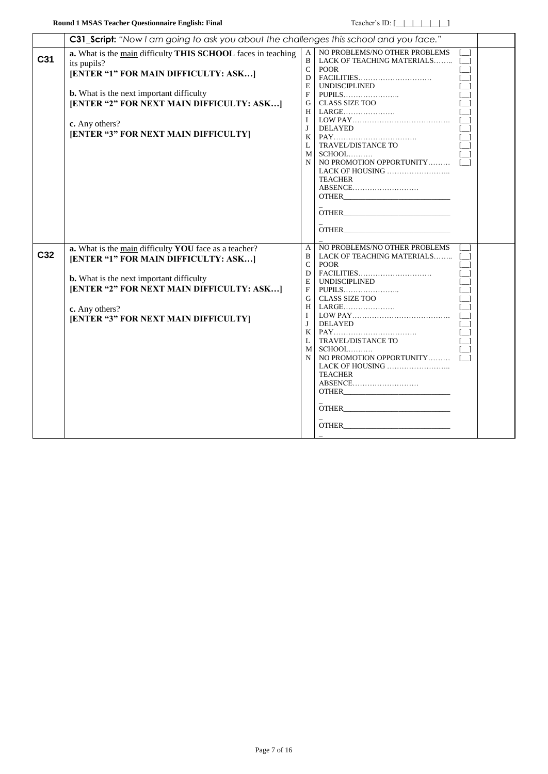|     | C31_Script: "Now I am going to ask you about the challenges this school and you face."                                                                                                                                                                  |                                                                                                                |                                                                                                                                                                                                    |                                                 |  |
|-----|---------------------------------------------------------------------------------------------------------------------------------------------------------------------------------------------------------------------------------------------------------|----------------------------------------------------------------------------------------------------------------|----------------------------------------------------------------------------------------------------------------------------------------------------------------------------------------------------|-------------------------------------------------|--|
| C31 | a. What is the main difficulty THIS SCHOOL faces in teaching<br>its pupils?<br>[ENTER "1" FOR MAIN DIFFICULTY: ASK]                                                                                                                                     | A<br>$\mathbf{B}$<br>$\mathbf{C}$<br>D<br>E                                                                    | NO PROBLEMS/NO OTHER PROBLEMS<br>LACK OF TEACHING MATERIALS [_]<br><b>POOR</b><br>UNDISCIPLINED                                                                                                    |                                                 |  |
|     | <b>b.</b> What is the next important difficulty<br>[ENTER "2" FOR NEXT MAIN DIFFICULTY: ASK]<br>c. Any others?<br>[ENTER "3" FOR NEXT MAIN DIFFICULTY]                                                                                                  | F<br>$\mathbf{I}$<br>$\mathbf{J}$<br>K<br>$\mathbf{L}$<br>M<br>N                                               | G   CLASS SIZE TOO<br>H   LARGE<br><b>DELAYED</b><br>TRAVEL/DISTANCE TO<br>SCHOOL<br>NO PROMOTION OPPORTUNITY<br>LACK OF HOUSING $\ldots$<br><b>TEACHER</b><br>ABSENCE<br><b>OTHER</b>             | r 1<br>$\lceil \cdot \rceil$<br>$\sqrt{1}$      |  |
| C32 | a. What is the main difficulty YOU face as a teacher?<br>[ENTER "1" FOR MAIN DIFFICULTY: ASK]<br><b>b.</b> What is the next important difficulty<br>[ENTER "2" FOR NEXT MAIN DIFFICULTY: ASK]<br>c. Any others?<br>[ENTER "3" FOR NEXT MAIN DIFFICULTY] | A<br>B<br>$\mathbf{C}$<br>D<br>E<br>F<br>G<br>$\mathbf{I}$<br>$\mathbf{J}$<br>$K_{\mathcal{I}}$<br>L<br>M<br>N | NO PROBLEMS/NO OTHER PROBLEMS<br>LACK OF TEACHING MATERIALS []<br><b>POOR</b><br>$FACILITIES.$<br>CLASS SIZE TOO<br>TRAVEL/DISTANCE TO<br>SCHOOL<br>LACK OF HOUSING $\ldots$<br>TEACHER<br>ABSENCE | $\begin{bmatrix} 1 \end{bmatrix}$<br>$\sqrt{1}$ |  |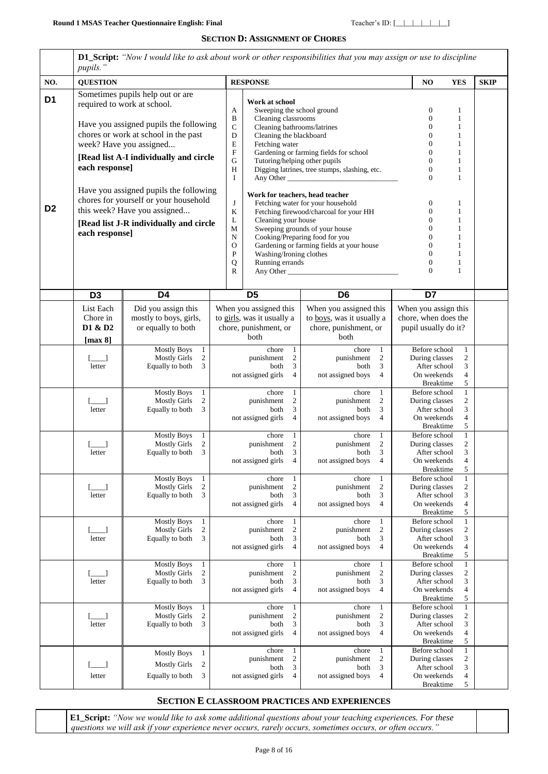#### **SECTION D: ASSIGNMENT OF CHORES**

<span id="page-7-0"></span>

|                | <b>D1_Script:</b> "Now I would like to ask about work or other responsibilities that you may assign or use to discipline<br>pupils."                                                                                                                                                                                        |                                                                                                     |                                                                                                               |                                                                                                                                                                                                                                           |                                                                                                                                           |                                                                                                                              |                                                                                                 |             |
|----------------|-----------------------------------------------------------------------------------------------------------------------------------------------------------------------------------------------------------------------------------------------------------------------------------------------------------------------------|-----------------------------------------------------------------------------------------------------|---------------------------------------------------------------------------------------------------------------|-------------------------------------------------------------------------------------------------------------------------------------------------------------------------------------------------------------------------------------------|-------------------------------------------------------------------------------------------------------------------------------------------|------------------------------------------------------------------------------------------------------------------------------|-------------------------------------------------------------------------------------------------|-------------|
| NO.            | <b>QUESTION</b>                                                                                                                                                                                                                                                                                                             |                                                                                                     |                                                                                                               | <b>RESPONSE</b>                                                                                                                                                                                                                           |                                                                                                                                           |                                                                                                                              | <b>YES</b>                                                                                      | <b>SKIP</b> |
| D <sub>1</sub> | Sometimes pupils help out or are<br>required to work at school.<br>Have you assigned pupils the following<br>chores or work at school in the past<br>week? Have you assigned<br>[Read list A-I individually and circle<br>each response]<br>Have you assigned pupils the following<br>chores for yourself or your household |                                                                                                     | A<br>B<br>$\mathbf C$<br>D<br>E<br>$\boldsymbol{\mathrm{F}}$<br>$\mathbf G$<br>$\rm H$<br>$\bf{I}$<br>$\bf J$ | Work at school<br>Sweeping the school ground<br>Cleaning classrooms<br>Cleaning bathrooms/latrines<br>Cleaning the blackboard<br>Fetching water<br>Tutoring/helping other pupils<br>Work for teachers, head teacher                       | Gardening or farming fields for school<br>Digging latrines, tree stumps, slashing, etc.<br>Any Other<br>Fetching water for your household | $\mathbf 0$<br>$\Omega$<br>$\theta$<br>$\overline{0}$<br>$\Omega$<br>$\Omega$<br>$\theta$<br>$\overline{0}$<br>$\theta$<br>0 | 1<br>$\mathbf{1}$<br>1<br>1<br>1<br>1<br>1<br>1<br>$\mathbf{1}$<br>1                            |             |
| D <sub>2</sub> | each response]                                                                                                                                                                                                                                                                                                              | this week? Have you assigned<br>[Read list J-R individually and circle                              | ${\bf K}$<br>L<br>М<br>${\bf N}$<br>$\mathbf{O}$<br>P<br>Q<br>R                                               | Fetching firewood/charcoal for your HH<br>Cleaning your house<br>Sweeping grounds of your house<br>Cooking/Preparing food for you<br>Gardening or farming fields at your house<br>Washing/Ironing clothes<br>Running errands<br>Any Other | $\Omega$<br>$\Omega$<br>$\Omega$<br>$\overline{0}$<br>$\overline{0}$                                                                      | 1<br>1<br>1<br>1<br>1<br>1<br>$\mathbf{1}$                                                                                   |                                                                                                 |             |
|                | D <sub>3</sub>                                                                                                                                                                                                                                                                                                              | D <sub>4</sub>                                                                                      |                                                                                                               | D <sub>5</sub>                                                                                                                                                                                                                            | D <sub>6</sub>                                                                                                                            | D7                                                                                                                           |                                                                                                 |             |
|                | List Each<br>Chore in<br>D1 & D2<br>[max 8]                                                                                                                                                                                                                                                                                 | Did you assign this<br>mostly to boys, girls,<br>or equally to both                                 |                                                                                                               | When you assigned this<br>to girls, was it usually a<br>chore, punishment, or<br>both                                                                                                                                                     | When you assigned this<br>to boys, was it usually a<br>chore, punishment, or<br>both                                                      | When you assign this<br>chore, when does the<br>pupil usually do it?                                                         |                                                                                                 |             |
|                | letter                                                                                                                                                                                                                                                                                                                      | <b>Mostly Boys</b><br>$\mathbf{1}$<br><b>Mostly Girls</b><br>$\overline{2}$<br>Equally to both<br>3 |                                                                                                               | chore<br>1<br>punishment<br>2<br>3<br>both<br>not assigned girls<br>$\overline{4}$                                                                                                                                                        | chore<br>-1<br>punishment<br>2<br>3<br>both<br>not assigned boys<br>$\overline{4}$                                                        | Before school<br>During classes<br>After school<br>On weekends<br><b>Breaktime</b>                                           | $\mathbf{1}$<br>$\overline{c}$<br>3<br>$\overline{4}$<br>5                                      |             |
|                | letter                                                                                                                                                                                                                                                                                                                      | <b>Mostly Boys</b><br>$\mathbf{1}$<br><b>Mostly Girls</b><br>$\overline{c}$<br>3<br>Equally to both |                                                                                                               | chore<br>$\mathbf{1}$<br>punishment<br>$\overline{c}$<br>3<br>both<br>not assigned girls<br>$\overline{4}$                                                                                                                                | chore<br>$\mathbf{1}$<br>2<br>punishment<br>3<br>both<br>not assigned boys<br>$\overline{4}$                                              | Before school<br>During classes<br>After school<br>On weekends<br><b>Breaktime</b>                                           | $\mathbf{1}$<br>$\overline{c}$<br>3<br>$\overline{4}$<br>5                                      |             |
|                | letter                                                                                                                                                                                                                                                                                                                      | <b>Mostly Boys</b><br>$\mathbf{1}$<br>$\overline{2}$<br><b>Mostly Girls</b><br>Equally to both<br>3 |                                                                                                               | chore<br>1<br>punishment<br>2<br>both<br>3<br>not assigned girls<br>$\overline{4}$                                                                                                                                                        | chore<br>-1<br>punishment<br>2<br>3<br>both<br>not assigned boys<br>$\overline{4}$                                                        | Before school<br>During classes<br>After school<br>On weekends<br><b>Breaktime</b>                                           | $\mathbf{1}$<br>$\overline{c}$<br>3<br>4<br>5                                                   |             |
|                | letter                                                                                                                                                                                                                                                                                                                      | <b>Mostly Boys</b><br>1<br>$\sqrt{2}$<br><b>Mostly Girls</b><br>Equally to both<br>3                |                                                                                                               | chore<br>1<br>$\sqrt{2}$<br>punishment<br>$\ensuremath{\mathfrak{Z}}$<br>both<br>not assigned girls<br>$\overline{4}$                                                                                                                     | chore<br>$\mathbf{1}$<br>$\overline{2}$<br>punishment<br>3<br>both<br>not assigned boys<br>$\overline{4}$                                 | Before school<br>During classes<br>After school<br>On weekends<br><b>Breaktime</b>                                           | $\mathbf{1}$<br>$\sqrt{2}$<br>3<br>$\overline{4}$<br>5                                          |             |
|                | $\Box$<br>letter                                                                                                                                                                                                                                                                                                            | <b>Mostly Boys</b><br>$\mathbf{1}$<br>$\overline{2}$<br><b>Mostly Girls</b><br>Equally to both<br>3 |                                                                                                               | chore<br>$\mathbf{1}$<br>$\boldsymbol{2}$<br>punishment<br>3<br>both<br>not assigned girls<br>$\overline{4}$                                                                                                                              | chore<br>1<br>$\overline{2}$<br>punishment<br>both<br>3<br>not assigned boys<br>$\overline{4}$                                            | Before school<br>During classes<br>After school<br>On weekends<br><b>Breaktime</b>                                           | $\mathbf{1}$<br>$\overline{c}$<br>3<br>$\overline{4}$<br>$\sqrt{5}$                             |             |
|                | $[-]$<br>letter                                                                                                                                                                                                                                                                                                             | <b>Mostly Boys</b><br>$\mathbf{1}$<br><b>Mostly Girls</b><br>$\overline{c}$<br>3<br>Equally to both |                                                                                                               | chore<br>$\mathbf{1}$<br>$\overline{\mathbf{c}}$<br>punishment<br>3<br>both<br>not assigned girls<br>$\overline{4}$                                                                                                                       | chore<br>$\mathbf{1}$<br>$\sqrt{2}$<br>punishment<br>3<br>both<br>not assigned boys<br>$\overline{4}$                                     | Before school<br>During classes<br>After school<br>On weekends<br><b>Breaktime</b>                                           | $\mathbf{1}$<br>$\boldsymbol{2}$<br>$\ensuremath{\mathfrak{Z}}$<br>$\overline{4}$<br>$\sqrt{5}$ |             |
|                | letter                                                                                                                                                                                                                                                                                                                      | <b>Mostly Boys</b><br>$\mathbf{1}$<br>$\sqrt{2}$<br><b>Mostly Girls</b><br>3<br>Equally to both     |                                                                                                               | chore<br>$\mathbf{1}$<br>$\sqrt{2}$<br>punishment<br>$\mathfrak{Z}$<br>both<br>not assigned girls<br>$\overline{4}$                                                                                                                       | chore<br>$\mathbf{1}$<br>$\overline{c}$<br>punishment<br>3<br>both<br>not assigned boys<br>$\overline{4}$                                 | Before school<br>During classes<br>After school<br>On weekends<br><b>Breaktime</b>                                           | $\mathbf{1}$<br>$\overline{c}$<br>$\mathfrak{Z}$<br>4<br>5                                      |             |
|                | letter                                                                                                                                                                                                                                                                                                                      | <b>Mostly Boys</b><br>$\mathbf{1}$<br>$\overline{2}$<br><b>Mostly Girls</b><br>3<br>Equally to both |                                                                                                               | $\mathbf{1}$<br>chore<br>$\overline{\mathbf{c}}$<br>punishment<br>$\mathfrak{Z}$<br>both<br>not assigned girls<br>$\overline{4}$                                                                                                          | $\mathbf{1}$<br>chore<br>$\overline{c}$<br>punishment<br>3<br>both<br>not assigned boys<br>$\overline{4}$                                 | Before school<br>During classes<br>After school<br>On weekends<br><b>Breaktime</b>                                           | $\mathbf{1}$<br>$\overline{\mathbf{c}}$<br>$\mathfrak{Z}$<br>$\overline{4}$<br>5                |             |

### **SECTION E CLASSROOM PRACTICES AND EXPERIENCES**

**E1\_Script:** *"Now we would like to ask some additional questions about your teaching experiences. For these questions we will ask if your experience never occurs, rarely occurs, sometimes occurs, or often occurs."*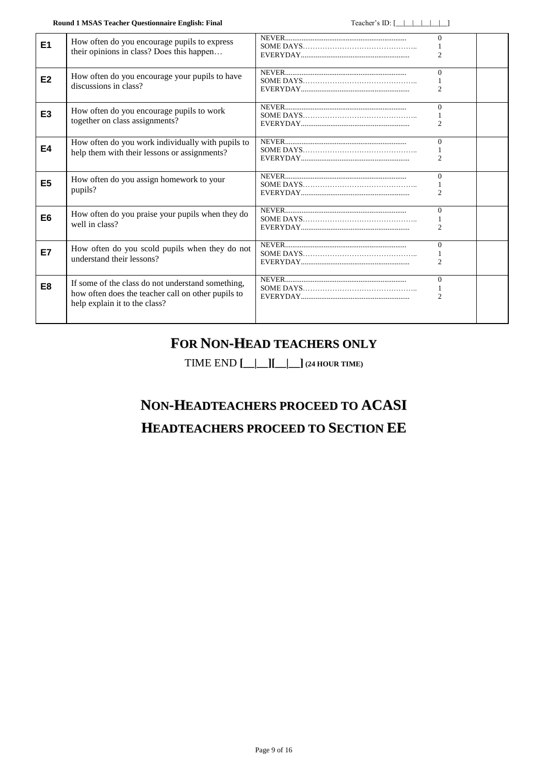**Round 1 MSAS Teacher Questionnaire English: Final** Teacher's ID:  $\begin{array}{c} \begin{array}{c} \begin{array}{c} \end{array} \end{array}$ 

| E <sub>1</sub> | How often do you encourage pupils to express<br>their opinions in class? Does this happen                                                |           | $\Omega$                   |  |
|----------------|------------------------------------------------------------------------------------------------------------------------------------------|-----------|----------------------------|--|
| E <sub>2</sub> | How often do you encourage your pupils to have<br>discussions in class?                                                                  |           | $\Omega$                   |  |
| E <sub>3</sub> | How often do you encourage pupils to work<br>together on class assignments?                                                              |           | $\Omega$<br>$\mathfrak{D}$ |  |
| <b>E4</b>      | How often do you work individually with pupils to<br>help them with their lessons or assignments?                                        | SOME DAYS | $\Omega$                   |  |
| E <sub>5</sub> | How often do you assign homework to your<br>pupils?                                                                                      |           | $\Omega$<br>$\mathfrak{D}$ |  |
| E <sub>6</sub> | How often do you praise your pupils when they do<br>well in class?                                                                       |           | $\Omega$<br>$\mathcal{D}$  |  |
| E7             | How often do you scold pupils when they do not<br>understand their lessons?                                                              |           | $\Omega$<br>$\mathfrak{D}$ |  |
| E <sub>8</sub> | If some of the class do not understand something,<br>how often does the teacher call on other pupils to<br>help explain it to the class? |           | $\Omega$<br>$\mathfrak{2}$ |  |

### **FOR NON-HEAD TEACHERS ONLY**

TIME END **[\_\_|\_\_][\_\_|\_\_] (24 HOUR TIME)**

# **NON-HEADTEACHERS PROCEED TO ACASI HEADTEACHERS PROCEED TO SECTION EE**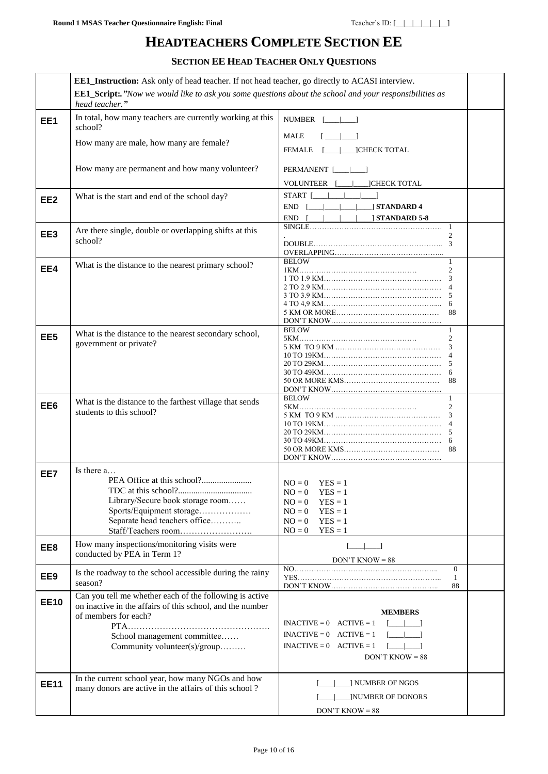### **HEADTEACHERS COMPLETE SECTION EE**

**SECTION EE HEAD TEACHER ONLY QUESTIONS**

|                 | <b>EE1_Instruction:</b> Ask only of head teacher. If not head teacher, go directly to ACASI interview.                                                                                                      |                                                                                                                                                                                                                                                                                                                                                      |                                                |  |
|-----------------|-------------------------------------------------------------------------------------------------------------------------------------------------------------------------------------------------------------|------------------------------------------------------------------------------------------------------------------------------------------------------------------------------------------------------------------------------------------------------------------------------------------------------------------------------------------------------|------------------------------------------------|--|
|                 | <b>EE1_Script:.</b> "Now we would like to ask you some questions about the school and your responsibilities as<br>head teacher."                                                                            |                                                                                                                                                                                                                                                                                                                                                      |                                                |  |
| EE1             | In total, how many teachers are currently working at this<br>school?                                                                                                                                        | NUMBER [   ]                                                                                                                                                                                                                                                                                                                                         |                                                |  |
|                 | How many are male, how many are female?                                                                                                                                                                     | MALE<br>1. 1. 1.<br><b>FEMALE</b>                                                                                                                                                                                                                                                                                                                    |                                                |  |
|                 | How many are permanent and how many volunteer?                                                                                                                                                              | PERMANENT [___  ____]                                                                                                                                                                                                                                                                                                                                |                                                |  |
| EE <sub>2</sub> | What is the start and end of the school day?                                                                                                                                                                | VOLUNTEER [<br><b>CHECK TOTAL</b><br>$START$ $\Box$<br>$\Box$ STANDARD 4<br>END [                                                                                                                                                                                                                                                                    |                                                |  |
| EE3             | Are there single, double or overlapping shifts at this<br>school?                                                                                                                                           | <b>STANDARD 5-8</b><br>END [                                                                                                                                                                                                                                                                                                                         | -1<br>$\mathfrak{D}$                           |  |
| EE4             | What is the distance to the nearest primary school?                                                                                                                                                         | <b>BELOW</b><br>5 KM OR MORE                                                                                                                                                                                                                                                                                                                         | 1<br>$\overline{c}$<br>3<br>88                 |  |
| EE <sub>5</sub> | What is the distance to the nearest secondary school,<br>government or private?                                                                                                                             | <b>BELOW</b>                                                                                                                                                                                                                                                                                                                                         | $\mathbf{1}$<br>$\overline{c}$<br>3<br>6<br>88 |  |
| EE6             | What is the distance to the farthest village that sends<br>students to this school?                                                                                                                         | <b>BELOW</b>                                                                                                                                                                                                                                                                                                                                         | $\mathbf{1}$<br>$\overline{c}$<br>6<br>88      |  |
| EE7             | Is there a<br>Library/Secure book storage room<br>Sports/Equipment storage<br>Separate head teachers office<br>Staff/Teachers room                                                                          | $NO = 0$ $YES = 1$<br>$NO = 0$<br>$YES = 1$<br>$YES = 1$<br>$NO = 0$<br>$NO = 0$<br>$YES = 1$<br>$NO = 0$<br>$YES = 1$<br>$NO = 0$<br>$YES = 1$                                                                                                                                                                                                      |                                                |  |
| EE8             | How many inspections/monitoring visits were<br>conducted by PEA in Term 1?                                                                                                                                  | $\begin{bmatrix} 1 & 1 \\ 1 & 1 \end{bmatrix}$<br>$DON'T$ KNOW = 88                                                                                                                                                                                                                                                                                  |                                                |  |
| EE9             | Is the roadway to the school accessible during the rainy<br>season?                                                                                                                                         |                                                                                                                                                                                                                                                                                                                                                      | $\Omega$<br>1<br>88                            |  |
| <b>EE10</b>     | Can you tell me whether each of the following is active<br>on inactive in the affairs of this school, and the number<br>of members for each?<br>School management committee<br>Community volunteer(s)/group | <b>MEMBERS</b><br>$INACTIVE = 0$ $ACTIVE = 1$<br>$\begin{bmatrix} 1 & 1 \\ 1 & 1 \end{bmatrix}$<br>$INACTIVE = 0$ $ACTIVE = 1$<br>$\begin{array}{ccc} \begin{array}{ccc} \end{array} & \begin{array}{ccc} \end{array} & \begin{array}{ccc} \end{array}$<br>$INACTIVE = 0$ $ACTIVE = 1$<br>$\begin{bmatrix} 1 & 1 \end{bmatrix}$<br>$DON'T$ KNOW = 88 |                                                |  |
| <b>EE11</b>     | In the current school year, how many NGOs and how<br>many donors are active in the affairs of this school?                                                                                                  | ] NUMBER OF NGOS<br><b>INUMBER OF DONORS</b><br>$DON'T$ KNOW = 88                                                                                                                                                                                                                                                                                    |                                                |  |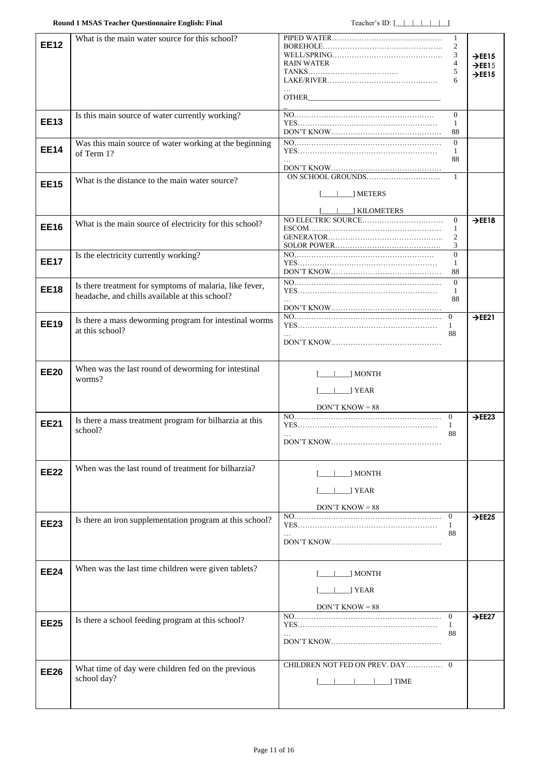| <b>EE12</b> | What is the main water source for this school?                                                            | <b>RAIN WATER</b>                                    | 3<br>4<br>5                          | $\rightarrow$ EE15<br>$\rightarrow$ EE15<br>$\rightarrow$ EE15 |
|-------------|-----------------------------------------------------------------------------------------------------------|------------------------------------------------------|--------------------------------------|----------------------------------------------------------------|
| <b>EE13</b> | Is this main source of water currently working?                                                           | $DON'T$ KNOW                                         | $\Omega$<br>1<br>88                  |                                                                |
| <b>EE14</b> | Was this main source of water working at the beginning<br>of Term 1?                                      |                                                      | $\Omega$<br>1<br>88                  |                                                                |
| <b>EE15</b> | What is the distance to the main water source?                                                            | METERS<br>] KILOMETERS                               | $\mathbf{1}$                         |                                                                |
| <b>EE16</b> | What is the main source of electricity for this school?                                                   |                                                      | $\Omega$<br>1<br>2<br>3              | $\rightarrow$ EE18                                             |
| <b>EE17</b> | Is the electricity currently working?                                                                     |                                                      | $\Omega$<br>-1<br>88                 |                                                                |
| <b>EE18</b> | Is there treatment for symptoms of malaria, like fever,<br>headache, and chills available at this school? |                                                      | $\Omega$<br>1<br>88                  |                                                                |
| <b>EE19</b> | Is there a mass deworming program for intestinal worms<br>at this school?                                 |                                                      | $\mathbf{0}$<br>$\mathbf{1}$<br>88   | $\rightarrow$ EE21                                             |
| <b>EE20</b> | When was the last round of deworming for intestinal<br>worms?                                             | ] MONTH<br>Sample 1 YEAR<br>$DON'T$ KNOW = 88        |                                      |                                                                |
| <b>EE21</b> | Is there a mass treatment program for bilharzia at this<br>school?                                        | DON'T KNOW                                           | $\overline{0}$<br>1<br>88            | $\rightarrow$ EE23                                             |
| <b>EE22</b> | When was the last round of treatment for bilharzia?                                                       | MONTH<br>Sold YEAR<br>$DON'T$ KNOW = 88              |                                      |                                                                |
| <b>EE23</b> | Is there an iron supplementation program at this school?                                                  | $\cdots$                                             | $\overline{0}$<br>$\mathbf{1}$<br>88 | $\rightarrow$ EE25                                             |
| <b>EE24</b> | When was the last time children were given tablets?                                                       | $\lfloor$ MONTH<br>$\perp$ YEAR<br>$DON'T$ KNOW = 88 |                                      |                                                                |
| <b>EE25</b> | Is there a school feeding program at this school?                                                         | $\cdots$                                             | $\overline{0}$<br>1<br>88            | $\rightarrow$ EE27                                             |
| <b>EE26</b> | What time of day were children fed on the previous<br>school day?                                         | CHILDREN NOT FED ON PREV. DAY 0<br>$\vert$ TIME      |                                      |                                                                |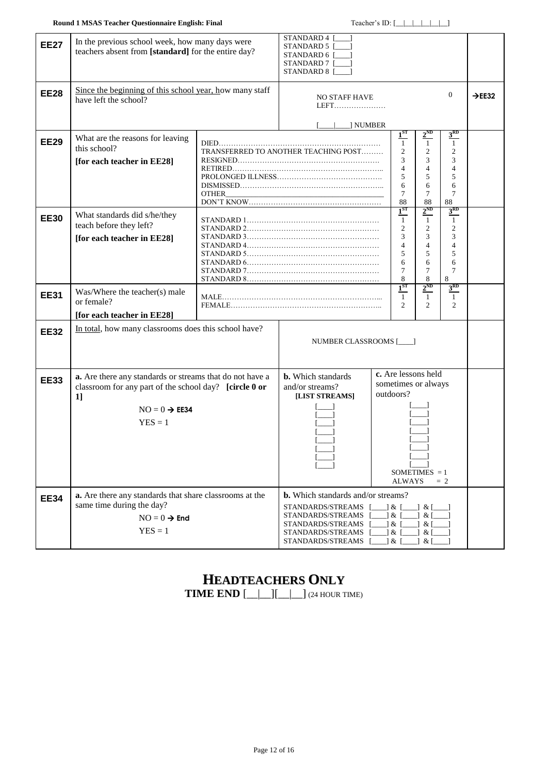| <b>EE27</b> | In the previous school week, how many days were<br>teachers absent from [standard] for the entire day?                                                             | STANDARD 4<br>STANDARD 5<br>STANDARD 6 [<br>STANDARD 7 [<br>STANDARD 8 [ |                                                                                                                                                                       |                                                                                               |                                                                                                |                                                                                              |  |
|-------------|--------------------------------------------------------------------------------------------------------------------------------------------------------------------|--------------------------------------------------------------------------|-----------------------------------------------------------------------------------------------------------------------------------------------------------------------|-----------------------------------------------------------------------------------------------|------------------------------------------------------------------------------------------------|----------------------------------------------------------------------------------------------|--|
| <b>EE28</b> | Since the beginning of this school year, how many staff<br>have left the school?                                                                                   | <b>NO STAFF HAVE</b><br>LEFT                                             |                                                                                                                                                                       |                                                                                               | $\mathbf{0}$                                                                                   | $\rightarrow$ EE32                                                                           |  |
| <b>EE29</b> | What are the reasons for leaving<br>this school?<br>[for each teacher in EE28]                                                                                     | OTHER                                                                    | ] NUMBER<br>TRANSFERRED TO ANOTHER TEACHING POST                                                                                                                      | 1 <sup>ST</sup><br>$\mathbf{1}$<br>$\mathfrak{2}$<br>3<br>$\overline{4}$<br>5<br>6<br>7<br>88 | $2^{ND}$<br>$\mathbf{1}$<br>$\overline{c}$<br>3<br>$\overline{4}$<br>5<br>6<br>7<br>88         | $3^{RD}$<br>$\mathbf{1}$<br>$\mathfrak{2}$<br>3<br>$\overline{4}$<br>5<br>6<br>7<br>88       |  |
| <b>EE30</b> | What standards did s/he/they<br>teach before they left?<br>[for each teacher in EE28]                                                                              |                                                                          |                                                                                                                                                                       | $1^{ST}$<br>$\mathbf{1}$<br>$\overline{c}$<br>3<br>$\overline{4}$<br>5<br>6<br>7<br>8         | $2^{\text{ND}}$<br>$\overline{1}$<br>$\mathfrak{2}$<br>3<br>$\overline{4}$<br>5<br>6<br>7<br>8 | 3 <sup>RD</sup><br>$\mathbf{1}$<br>$\overline{2}$<br>3<br>$\overline{4}$<br>5<br>6<br>7<br>8 |  |
| <b>EE31</b> | Was/Where the teacher(s) male<br>or female?<br>[for each teacher in EE28]                                                                                          | $1^{ST}$<br>$\mathbf{1}$<br>2                                            |                                                                                                                                                                       |                                                                                               | $2^{ND}$<br>$\mathbf{1}$<br>$\overline{c}$                                                     | 3 <sup>RD</sup><br>$\mathbf{1}$<br>$\overline{2}$                                            |  |
| <b>EE32</b> | In total, how many classrooms does this school have?                                                                                                               |                                                                          | NUMBER CLASSROOMS [                                                                                                                                                   |                                                                                               |                                                                                                |                                                                                              |  |
| <b>EE33</b> | a. Are there any standards or streams that do not have a<br>classroom for any part of the school day? [circle 0 or<br>1]<br>$NO = 0 \rightarrow EE34$<br>$YES = 1$ |                                                                          | <b>b.</b> Which standards<br>and/or streams?<br>[LIST STREAMS]                                                                                                        | c. Are lessons held<br>sometimes or always<br>outdoors?<br>SOMETIMES $= 1$<br>ALWAYS<br>$= 2$ |                                                                                                |                                                                                              |  |
| <b>EE34</b> | a. Are there any standards that share classrooms at the<br>same time during the day?<br>$NO = 0 \rightarrow End$<br>$YES = 1$                                      |                                                                          | <b>b.</b> Which standards and/or streams?<br>STANDARDS/STREAMS $[\_\_\] \& [\_$<br>STANDARDS/STREAMS<br>STANDARDS/STREAMS<br>STANDARDS/STREAMS<br>STANDARDS/STREAMS [ | $\lceil 8 \rceil$<br>$\&$<br>$\lceil 8 \rceil$<br>$\&$ [                                      | & [<br>$\&$  <br>$\&$  <br>$\&$ [<br>$\&$ [                                                    |                                                                                              |  |

# **HEADTEACHERS ONLY**

**TIME END**  $[\_][\_][\_][\_](24 \text{ HOUR TIME})$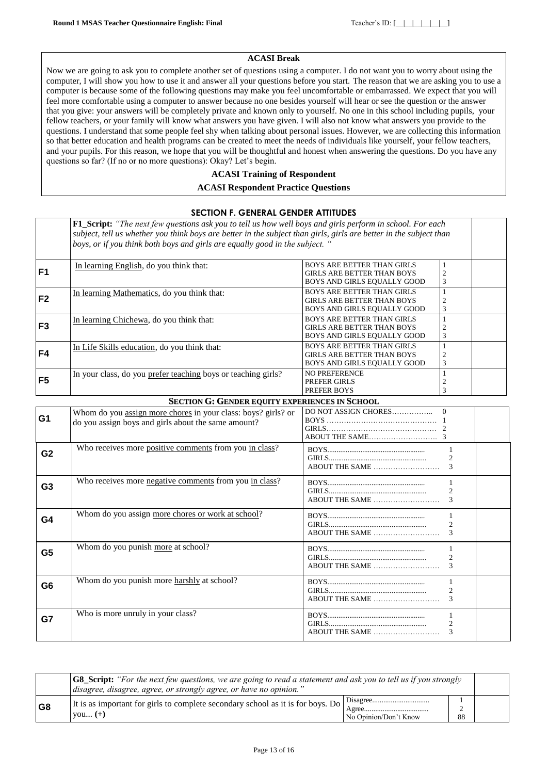### **ACASI Break**

Now we are going to ask you to complete another set of questions using a computer. I do not want you to worry about using the computer, I will show you how to use it and answer all your questions before you start. The reason that we are asking you to use a computer is because some of the following questions may make you feel uncomfortable or embarrassed. We expect that you will feel more comfortable using a computer to answer because no one besides yourself will hear or see the question or the answer that you give: your answers will be completely private and known only to yourself. No one in this school including pupils, your fellow teachers, or your family will know what answers you have given. I will also not know what answers you provide to the questions. I understand that some people feel shy when talking about personal issues. However, we are collecting this information so that better education and health programs can be created to meet the needs of individuals like yourself, your fellow teachers, and your pupils. For this reason, we hope that you will be thoughtful and honest when answering the questions. Do you have any questions so far? (If no or no more questions): Okay? Let's begin.

### **ACASI Training of Respondent**

#### **ACASI Respondent Practice Questions**

### **SECTION F. GENERAL GENDER ATTITUDES**

**F1\_Script:** *"The next few questions ask you to tell us how well boys and girls perform in school. For each subject, tell us whether you think boys are better in the subject than girls, girls are better in the subject than boys, or if you think both boys and girls are equally good in the subject. "* **F1** In learning English, do you think that:<br> **F1** BOYS ARE BETTER THAN GIRLS GIRLS ARE BETTER THAN BOYS BOYS AND GIRLS EQUALLY GOOD 1 2 3 **F2** In learning Mathematics, do you think that:<br> **F2** BOYS ARE BETTER THAN GIRLS GIRLS ARE BETTER THAN BOYS BOYS AND GIRLS EQUALLY GOOD 1  $\mathcal{D}$ 3 **F3** In learning Chichewa, do you think that:<br> **F3** GIRLS ARE BETTER THAN BOYS GIRLS ARE BETTER THAN BOYS BOYS AND GIRLS EQUALLY GOOD 1 2 3 **F4** In Life Skills education, do you think that:<br> **F4** BOYS ARE BETTER THAN GIRLS ARE RETTER THAN BOYS GIRLS ARE BETTER THAN BOYS BOYS AND GIRLS EQUALLY GOOD 1  $\mathcal{D}$ 3 **F5** In your class, do you prefer teaching boys or teaching girls? NO PREFERENCE PREFER GIRLS PREFER BOYS 1 2 3 **SECTION G: GENDER EQUITY EXPERIENCES IN SCHOOL** Whom do you <u>assign more chores</u> in your class: boys? girls? or do you assign boys and girls about the same amount? DO NOT ASSIGN CHORES…………….. BOYS ……………………………………… GIRLS……………………………………… ABOUT THE SAME……………………….  $\Omega$ 1  $\mathfrak{D}$ 3 **G2** Who receives more positive comments from you in class? BOYS..................................................... GIRLS..................................................... ABOUT THE SAME ……………………… 1  $\mathfrak{2}$ 3 **G3** Who receives more negative comments from you in class? BOYS..................................................... GIRLS. ABOUT THE SAME ……………………… 1  $\mathfrak{2}$ 3 **G4** Whom do you assign more chores or work at school? BOYS..................................................... GIRLS..................................................... ABOUT THE SAME ……………………… 1  $\overline{\phantom{a}}$ 3 **G5** Whom do you punish <u>more</u> at school? BOYS...... GIRLS..................................................... ABOUT THE SAME ……………………… 1 2 3 **G6** Whom do you punish more harshly at school? BOYS..................................................... GIRLS...... ABOUT THE SAME ……………………… 1 2 3 **G7** Who is more unruly in your class? BOYS..................................................... GIRLS..................................................... ABOUT THE SAME ……………………… 1 2 3

|                | <b>G8</b> Script: "For the next few questions, we are going to read a statement and ask you to tell us if you strongly<br>disagree, disagree, agree, or strongly agree, or have no opinion. |                                  |    |  |
|----------------|---------------------------------------------------------------------------------------------------------------------------------------------------------------------------------------------|----------------------------------|----|--|
| G <sub>8</sub> | It is as important for girls to complete secondary school as it is for boys. Do<br>$\forall$ ou $(+)$                                                                                       | A oree.<br>No Opinion/Don't Know | 88 |  |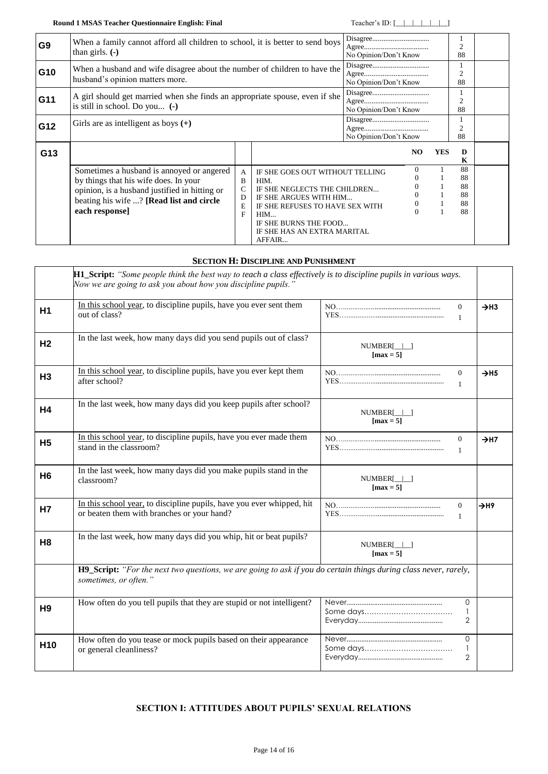**Round 1 MSAS Teacher Questionnaire English: Final** Teacher's ID: [\_\_|\_\_|\_\_|\_\_|\_\_|\_\_|\_\_|

| G <sub>9</sub> | When a family cannot afford all children to school, it is better to send boys<br>than girls. $(-)$                                                                                                |                                                                           |                                                                                                                                                                                                               | No Opinion/Don't Know            |                      | $\overline{2}$<br>88             |  |
|----------------|---------------------------------------------------------------------------------------------------------------------------------------------------------------------------------------------------|---------------------------------------------------------------------------|---------------------------------------------------------------------------------------------------------------------------------------------------------------------------------------------------------------|----------------------------------|----------------------|----------------------------------|--|
| G10            | husband's opinion matters more.                                                                                                                                                                   | When a husband and wife disagree about the number of children to have the |                                                                                                                                                                                                               | No Opinion/Don't Know            |                      | $\overline{2}$<br>88             |  |
| G11            | A girl should get married when she finds an appropriate spouse, even if she<br>is still in school. Do you $(-)$                                                                                   |                                                                           | No Opinion/Don't Know                                                                                                                                                                                         |                                  | $\overline{2}$<br>88 |                                  |  |
| G12            | Girls are as intelligent as boys $(+)$                                                                                                                                                            |                                                                           | $\label{eq:disagre} \textbf{Disagree}.\textit{} \textit{}$<br>No Opinion/Don't Know                                                                                                                           |                                  | $\overline{2}$<br>88 |                                  |  |
| G13            |                                                                                                                                                                                                   |                                                                           |                                                                                                                                                                                                               | NO                               | <b>YES</b>           | D<br>K                           |  |
|                | Sometimes a husband is annoyed or angered<br>by things that his wife does. In your<br>opinion, is a husband justified in hitting or<br>beating his wife ? [Read list and circle<br>each response] | $\mathsf{A}$<br>B<br>C<br>D<br>E<br>F                                     | IF SHE GOES OUT WITHOUT TELLING<br>HIM.<br>IF SHE NEGLECTS THE CHILDREN<br>IF SHE ARGUES WITH HIM<br>IF SHE REFUSES TO HAVE SEX WITH<br>HIM<br>IF SHE BURNS THE FOOD<br>IF SHE HAS AN EXTRA MARITAL<br>AFFAIR | $\Omega$<br>$\theta$<br>$\theta$ |                      | 88<br>88<br>88<br>88<br>88<br>88 |  |

### **SECTION H: DISCIPLINE AND PUNISHMENT**

<span id="page-13-1"></span><span id="page-13-0"></span>

|                 | <b>H1_Script:</b> "Some people think the best way to teach a class effectively is to discipline pupils in various ways.<br>Now we are going to ask you about how you discipline pupils. |                                                |                              |
|-----------------|-----------------------------------------------------------------------------------------------------------------------------------------------------------------------------------------|------------------------------------------------|------------------------------|
| H <sub>1</sub>  | In this school year, to discipline pupils, have you ever sent them<br>out of class?                                                                                                     | $\theta$<br>$\mathbf{1}$                       | $\rightarrow$ H3             |
| H <sub>2</sub>  | In the last week, how many days did you send pupils out of class?                                                                                                                       | $NUMBER[\_]\_$<br>$[\text{max} = 5]$           |                              |
| H <sub>3</sub>  | In this school year, to discipline pupils, have you ever kept them<br>after school?                                                                                                     | $\mathbf{0}$<br>$\mathbf{1}$                   | $\rightarrow$ H <sub>5</sub> |
| H4              | In the last week, how many days did you keep pupils after school?                                                                                                                       | $NUMBER[\_]\_]$<br>$\lceil \max = 5 \rceil$    |                              |
| <b>H5</b>       | In this school year, to discipline pupils, have you ever made them<br>stand in the classroom?                                                                                           | $\theta$<br>$\mathbf{1}$                       | $\rightarrow$ H7             |
| H <sub>6</sub>  | In the last week, how many days did you make pupils stand in the<br>classroom?                                                                                                          | $NUMBER[\_]\_]$<br>$\lceil \max = 5 \rceil$    |                              |
| <b>H7</b>       | In this school year, to discipline pupils, have you ever whipped, hit<br>or beaten them with branches or your hand?                                                                     | $\mathbf{0}$<br>$\mathbf{1}$                   | $\rightarrow$ H9             |
| H <sub>8</sub>  | In the last week, how many days did you whip, hit or beat pupils?                                                                                                                       | $NUMBER[\_]\_]$<br>$\lceil \max = 5 \rceil$    |                              |
|                 | H9_Script: "For the next two questions, we are going to ask if you do certain things during class never, rarely,<br>sometimes, or often."                                               |                                                |                              |
| H <sub>9</sub>  | How often do you tell pupils that they are stupid or not intelligent?                                                                                                                   | $\Omega$<br>$\mathbf{1}$<br>$\overline{2}$     |                              |
| H <sub>10</sub> | How often do you tease or mock pupils based on their appearance<br>or general cleanliness?                                                                                              | $\mathbf{0}$<br>$\mathbf{1}$<br>$\overline{2}$ |                              |

### <span id="page-13-2"></span>**SECTION I: ATTITUDES ABOUT PUPILS' SEXUAL RELATIONS**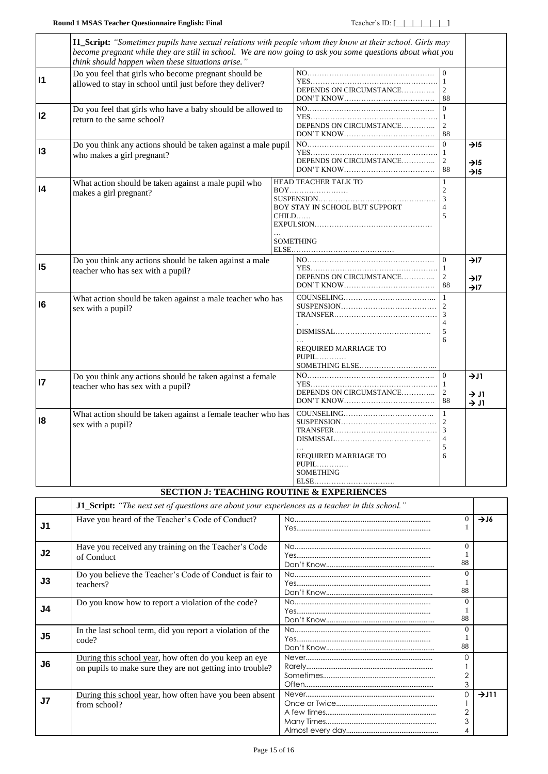<span id="page-14-0"></span>

|                 | I1_Script: "Sometimes pupils have sexual relations with people whom they know at their school. Girls may<br>become pregnant while they are still in school. We are now going to ask you some questions about what you<br>think should happen when these situations arise." |                                                                                     |                                                                 |                                                          |  |
|-----------------|----------------------------------------------------------------------------------------------------------------------------------------------------------------------------------------------------------------------------------------------------------------------------|-------------------------------------------------------------------------------------|-----------------------------------------------------------------|----------------------------------------------------------|--|
| $\mathsf{I}$    | Do you feel that girls who become pregnant should be<br>allowed to stay in school until just before they deliver?                                                                                                                                                          | DEPENDS ON CIRCUMSTANCE                                                             | $\Omega$<br>$\mathbf{1}$<br>2<br>88                             |                                                          |  |
| 12              | Do you feel that girls who have a baby should be allowed to<br>return to the same school?                                                                                                                                                                                  | DEPENDS ON CIRCUMSTANCE                                                             | $\Omega$<br>$\mathbf{1}$<br>2<br>88                             |                                                          |  |
| 13              | Do you think any actions should be taken against a male pupil<br>who makes a girl pregnant?                                                                                                                                                                                | DEPENDS ON CIRCUMSTANCE                                                             | $\Omega$<br>$\mathbf{1}$<br>2<br>88                             | $\rightarrow$ I5<br>$\rightarrow$ I5<br>$\rightarrow$ 15 |  |
| 4               | What action should be taken against a male pupil who<br>makes a girl pregnant?                                                                                                                                                                                             | HEAD TEACHER TALK TO<br>BOY STAY IN SCHOOL BUT SUPPORT<br>CHILD<br><b>SOMETHING</b> | $\mathbf{1}$<br>$\overline{c}$<br>3<br>5                        |                                                          |  |
| 15              | Do you think any actions should be taken against a male<br>teacher who has sex with a pupil?                                                                                                                                                                               | DEPENDS ON CIRCUMSTANCE                                                             | $\Omega$<br>1<br>2<br>88                                        | $\rightarrow$ I7<br>$\rightarrow$ I7<br>$\rightarrow$ I7 |  |
| 16              | What action should be taken against a male teacher who has<br>sex with a pupil?                                                                                                                                                                                            | COUNTELING<br>REQUIRED MARRIAGE TO<br>$PUPIL$                                       | $\mathbf{1}$<br>3<br>$\overline{4}$<br>5<br>6                   |                                                          |  |
| $\overline{17}$ | Do you think any actions should be taken against a female<br>teacher who has sex with a pupil?                                                                                                                                                                             | DEPENDS ON CIRCUMSTANCE                                                             | $\Omega$<br>$\mathbf{1}$<br>$\overline{c}$<br>88                | 71<br>$\rightarrow$ J1<br>$\rightarrow$ J1               |  |
| 18              | What action should be taken against a female teacher who has<br>sex with a pupil?                                                                                                                                                                                          | REQUIRED MARRIAGE TO<br>$PUPIL$<br><b>SOMETHING</b>                                 | $\mathbf{1}$<br>2<br>$\overline{3}$<br>$\overline{4}$<br>5<br>6 |                                                          |  |

### **SECTION J: TEACHING ROUTINE & EXPERIENCES**

<span id="page-14-2"></span><span id="page-14-1"></span>

|    | J1_Script: "The next set of questions are about your experiences as a teacher in this school."                     |  |                          |                  |  |
|----|--------------------------------------------------------------------------------------------------------------------|--|--------------------------|------------------|--|
| J1 | Have you heard of the Teacher's Code of Conduct?                                                                   |  | 0                        | $\rightarrow$ J6 |  |
| J2 | Have you received any training on the Teacher's Code<br>of Conduct                                                 |  | $\Omega$<br>88           |                  |  |
| J3 | Do you believe the Teacher's Code of Conduct is fair to<br>teachers?                                               |  | $\Omega$<br>88           |                  |  |
| J4 | Do you know how to report a violation of the code?                                                                 |  | $\Omega$<br>88           |                  |  |
| J5 | In the last school term, did you report a violation of the<br>code?                                                |  | $\Omega$<br>88           |                  |  |
| J6 | During this school year, how often do you keep an eye<br>on pupils to make sure they are not getting into trouble? |  | 3                        |                  |  |
| J7 | During this school year, how often have you been absent<br>from school?                                            |  | 0<br>$\overline{2}$<br>3 | 711              |  |